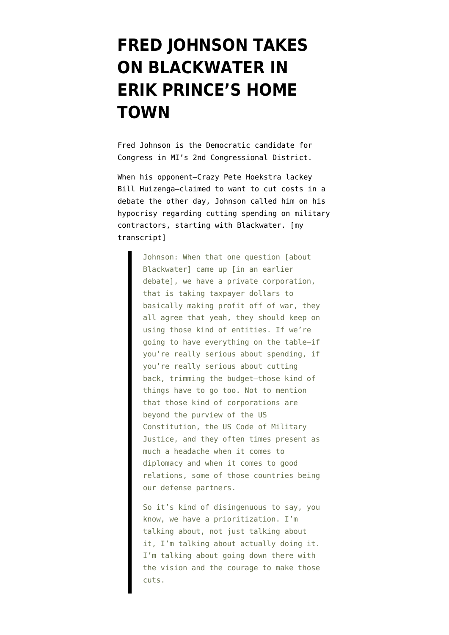## **[FRED JOHNSON TAKES](https://www.emptywheel.net/2010/10/19/fred-johnson-takes-on-blackwater-in-erik-princes-home-town/) [ON BLACKWATER IN](https://www.emptywheel.net/2010/10/19/fred-johnson-takes-on-blackwater-in-erik-princes-home-town/) [ERIK PRINCE'S HOME](https://www.emptywheel.net/2010/10/19/fred-johnson-takes-on-blackwater-in-erik-princes-home-town/) [TOWN](https://www.emptywheel.net/2010/10/19/fred-johnson-takes-on-blackwater-in-erik-princes-home-town/)**

[Fred Johnson](http://www.fredjohnsonforcongress.com/) is the Democratic candidate for Congress in MI's 2nd Congressional District.

When his opponent–Crazy Pete Hoekstra lackey Bill Huizenga–claimed to want to cut costs in a debate the other day, Johnson called him on his hypocrisy regarding cutting spending on military contractors, starting with Blackwater. [my transcript]

> Johnson: When that one question [about Blackwater] came up [in an earlier debate], we have a private corporation, that is taking taxpayer dollars to basically making profit off of war, they all agree that yeah, they should keep on using those kind of entities. If we're going to have everything on the table–if you're really serious about spending, if you're really serious about cutting back, trimming the budget–those kind of things have to go too. Not to mention that those kind of corporations are beyond the purview of the US Constitution, the US Code of Military Justice, and they often times present as much a headache when it comes to diplomacy and when it comes to good relations, some of those countries being our defense partners.

> So it's kind of disingenuous to say, you know, we have a prioritization. I'm talking about, not just talking about it, I'm talking about actually doing it. I'm talking about going down there with the vision and the courage to make those cuts.